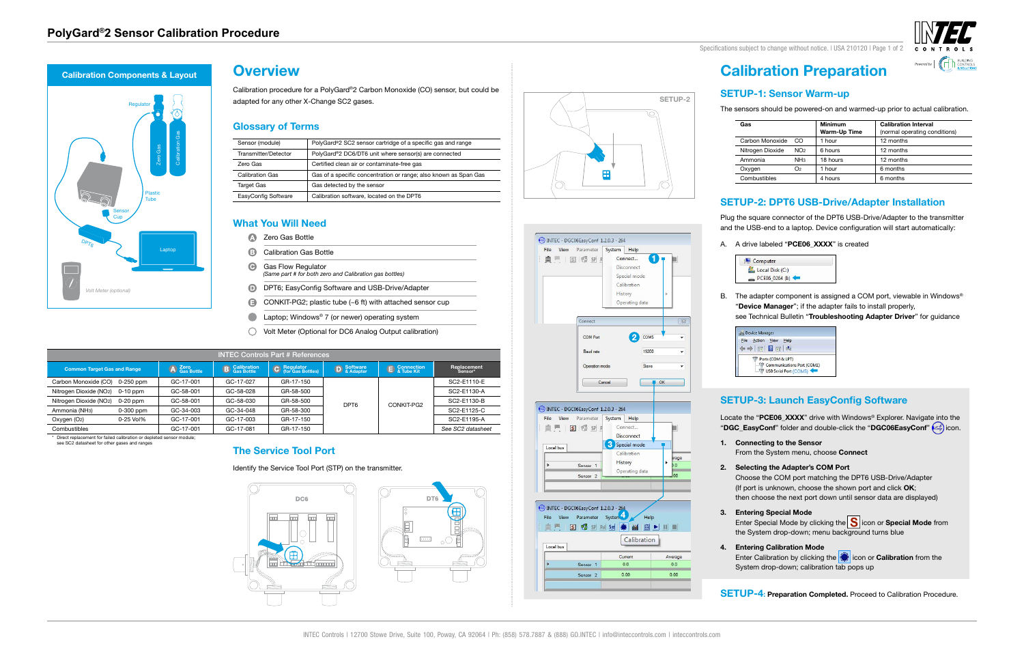**Regulator** 

es de la proponenta<br>Alexandro Captop Captop Captop Captop Captop Captop Captop Captop Captop Captop Captop Captop Captop Captop Captop Captop Captop Captop Captop Captop Captop Captop Captop Captop Captop Captop Captop Cap

Laptop











Specifications subject to change without notice. I USA 210120 | Page 1 of 2



# **Calibration Preparation**

# **SETUP-1: Sensor Warm-up**

The sensors should be powered-on and warmed-up prior to actual calibration.

**Gas Minimum**



- 
- 
- -

B. The adapter component is assigned a COM port, viewable in Windows® "**Device Manager**"; if the adapter fails to install properly,

| Gas              |                 | <b>Minimum</b><br>Warm-Up Time | <b>Calibration Interval</b><br>(normal operating conditions) |
|------------------|-----------------|--------------------------------|--------------------------------------------------------------|
| Carbon Monoxide  | CO.             | 1 hour                         | 12 months                                                    |
| Nitrogen Dioxide | NO <sub>2</sub> | 6 hours                        | 12 months                                                    |
| Ammonia          | NH <sub>3</sub> | 18 hours                       | 12 months                                                    |
| Oxygen           | O2              | 1 hour                         | 6 months                                                     |
| Combustibles     |                 | 4 hours                        | 6 months                                                     |

# **SETUP-2: DPT6 USB-Drive/Adapter Installation**

Plug the square connector of the DPT6 USB-Drive/Adapter to the transmitter and the USB-end to a laptop. Device configuration will start automatically:

Enter Special Mode by clicking the **S** icon or **Special Mode** from the System drop-down; menu background turns blue

A. A drive labeled "**PCE06\_XXXX**" is created

| Computer        |  |
|-----------------|--|
| Local Disk (C:) |  |
| $PCE06_0264(l)$ |  |
|                 |  |

see Technical Bulletin "**Troubleshooting Adapter Driver**" for guidance



# **SETUP-3: Launch EasyConfig Software**

Locate the "PCE06\_XXXX" drive with Windows® Explorer. Navigate into the "**DGC\_EasyConf**" folder and double-click the "DGC06EasyConf" (e.g.) icon.

## **1. Connecting to the Sensor**

From the System menu, choose **Connect**

## **2. Selecting the Adapter's COM Port**

- **A** Zero Gas Bottle
- ❸. Calibration Gas Bottle
- $\bullet$ Gas Flow Regulator *(Same part # for both zero and Calibration gas bottles)*
- D DPT6; EasyConfig Software and USB-Drive/Adapter
- $\bullet$ CONKIT-PG2; plastic tube (~6 ft) with attached sensor cup
- $\bullet$ Laptop; Windows® 7 (or newer) operating system
- Volt Meter (Optional for DC6 Analog Output calibration)

Choose the COM port matching the DPT6 USB-Drive/Adapter (If port is unknown, choose the shown port and click **OK**; then choose the next port down until sensor data are displayed)

## **3. Entering Special Mode**

## **4. Entering Calibration Mode**

Enter Calibration by clicking the icon or **Calibration** from the System drop-down; calibration tab pops up

**SETUP-4: Preparation Completed.** Proceed to Calibration Procedure.

**Sensor** Cup

 $D_{\rho\gamma_{6}}$ 

## **The Service Tool Port**

## Identify the Service Tool Port (STP) on the transmitter.





Calibration procedure for a PolyGard®2 Carbon Monoxide (CO) sensor, but could be adapted for any other X-Change SC2 gases.

# **Glossary of Terms**

| Sensor (module)        | PolyGard®2 SC2 sensor cartridge of a specific gas and range      |
|------------------------|------------------------------------------------------------------|
| Transmitter/Detector   | PolyGard®2 DC6/DT6 unit where sensor(s) are connected            |
| Zero Gas               | Certified clean air or contaminate-free gas                      |
| <b>Calibration Gas</b> | Gas of a specific concentration or range; also known as Span Gas |
| <b>Target Gas</b>      | Gas detected by the sensor                                       |
| EasyConfig Software    | Calibration software, located on the DPT6                        |

### **Overview Calibration Components & Layout**

# **What You Will Need**

| <b>INTEC Controls Part # References</b> |             |                      |                      |                                  |                   |                     |                        |  |
|-----------------------------------------|-------------|----------------------|----------------------|----------------------------------|-------------------|---------------------|------------------------|--|
| <b>Common Target Gas and Range</b>      |             | A Zero<br>Gas Bottle | <b>B</b> Calibration | C Regulator<br>(for Gas Bottles) | <b>D</b> Software | <b>E</b> Connection | Replacement<br>Sensor* |  |
| Carbon Monoxide (CO)                    | $0-250$ ppm | GC-17-001            | GC-17-027            | GR-17-150                        |                   |                     | SC2-E1110-E            |  |
| Nitrogen Dioxide (NO2)                  | $0-10$ ppm  | GC-58-001            | GC-58-028            | GR-58-500                        |                   | CONKIT-PG2          | SC2-E1130-A            |  |
| Nitrogen Dioxide (NO2)                  | $0-20$ ppm  | GC-58-001            | GC-58-030            | GR-58-500                        | DPT <sub>6</sub>  |                     | SC2-E1130-B            |  |
| Ammonia (NH <sub>3</sub> )              | $0-300$ ppm | GC-34-003            | GC-34-048            | GR-58-300                        |                   |                     | SC2-E1125-C            |  |
| Oxygen (O2)                             | 0-25 Vol%   | GC-17-001            | GC-17-003            | GR-17-150                        |                   |                     | SC2-E1195-A            |  |
| Combustibles                            |             | GC-17-001            | GC-17-081            | GR-17-150                        |                   |                     | See SC2 datasheet      |  |

\* Direct replacement for failed calibration or depleted sensor module;

### see SC2 datasheet for other gases and ranges







*Volt Meter (optional)*

Calibration Gas



Plastic Tube